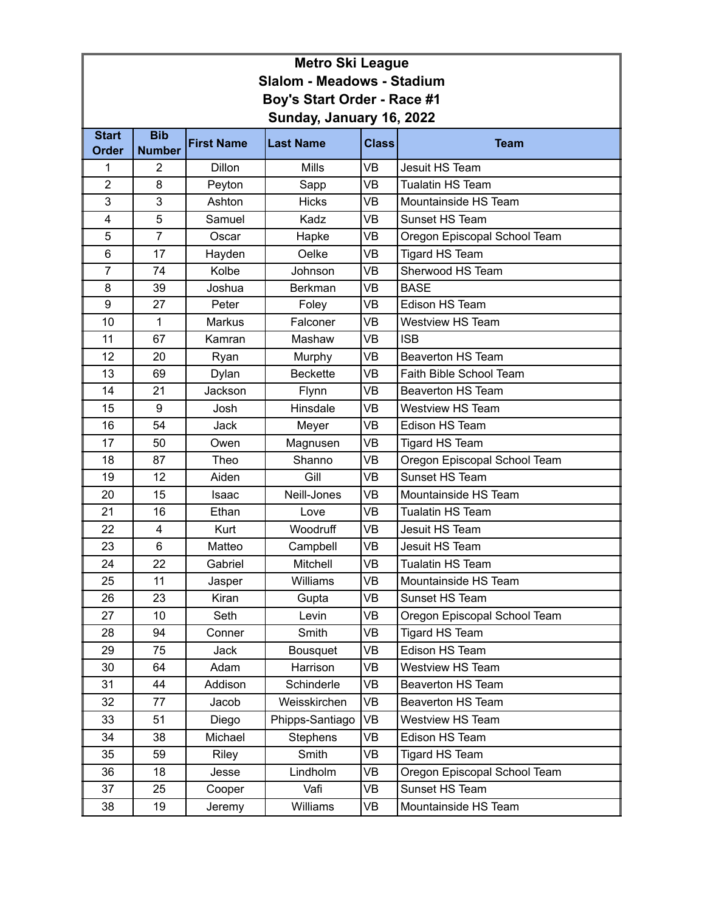| <b>Metro Ski League</b>           |                                 |                   |                      |              |                              |  |  |  |
|-----------------------------------|---------------------------------|-------------------|----------------------|--------------|------------------------------|--|--|--|
| <b>Slalom - Meadows - Stadium</b> |                                 |                   |                      |              |                              |  |  |  |
| Boy's Start Order - Race #1       |                                 |                   |                      |              |                              |  |  |  |
| Sunday, January 16, 2022          |                                 |                   |                      |              |                              |  |  |  |
| <b>Start</b>                      | <b>Bib</b>                      | <b>First Name</b> | <b>Last Name</b>     | <b>Class</b> | <b>Team</b>                  |  |  |  |
| <b>Order</b><br>1                 | <b>Number</b><br>$\overline{2}$ | <b>Dillon</b>     | <b>Mills</b>         | <b>VB</b>    | <b>Jesuit HS Team</b>        |  |  |  |
| $\overline{2}$                    | 8                               | Peyton            |                      | VB           | <b>Tualatin HS Team</b>      |  |  |  |
| 3                                 | 3                               | Ashton            | Sapp<br><b>Hicks</b> | <b>VB</b>    | Mountainside HS Team         |  |  |  |
| 4                                 | 5                               | Samuel            | Kadz                 | VB           | Sunset HS Team               |  |  |  |
| 5                                 | $\overline{7}$                  | Oscar             | Hapke                | <b>VB</b>    | Oregon Episcopal School Team |  |  |  |
| 6                                 | 17                              | Hayden            | Oelke                | VB           | <b>Tigard HS Team</b>        |  |  |  |
| $\overline{7}$                    | 74                              | Kolbe             | Johnson              | <b>VB</b>    | Sherwood HS Team             |  |  |  |
| 8                                 | 39                              | Joshua            | <b>Berkman</b>       | VB           | <b>BASE</b>                  |  |  |  |
| 9                                 | 27                              | Peter             | Foley                | <b>VB</b>    | Edison HS Team               |  |  |  |
| 10                                | 1                               | <b>Markus</b>     | Falconer             | VB           | <b>Westview HS Team</b>      |  |  |  |
| 11                                | 67                              | Kamran            | Mashaw               | <b>VB</b>    | <b>ISB</b>                   |  |  |  |
| 12                                | 20                              | Ryan              | Murphy               | VB           | <b>Beaverton HS Team</b>     |  |  |  |
| 13                                | 69                              | Dylan             | <b>Beckette</b>      | <b>VB</b>    | Faith Bible School Team      |  |  |  |
| 14                                | 21                              | Jackson           | Flynn                | VB           | <b>Beaverton HS Team</b>     |  |  |  |
| 15                                | 9                               | Josh              | Hinsdale             | <b>VB</b>    | <b>Westview HS Team</b>      |  |  |  |
| 16                                | 54                              | Jack              | Meyer                | <b>VB</b>    | <b>Edison HS Team</b>        |  |  |  |
| 17                                | 50                              | Owen              | Magnusen             | <b>VB</b>    | <b>Tigard HS Team</b>        |  |  |  |
| 18                                | 87                              | Theo              | Shanno               | VB           | Oregon Episcopal School Team |  |  |  |
| 19                                | 12                              | Aiden             | Gill                 | <b>VB</b>    | Sunset HS Team               |  |  |  |
| 20                                | 15                              | Isaac             | Neill-Jones          | VB           | Mountainside HS Team         |  |  |  |
| 21                                | 16                              | Ethan             | Love                 | <b>VB</b>    | <b>Tualatin HS Team</b>      |  |  |  |
| 22                                | 4                               | <b>Kurt</b>       | Woodruff             | VB           | Jesuit HS Team               |  |  |  |
| 23                                | $6\phantom{1}6$                 | Matteo            | Campbell             | <b>VB</b>    | Jesuit HS Team               |  |  |  |
| 24                                | 22                              | Gabriel           | Mitchell             | <b>VB</b>    | <b>Tualatin HS Team</b>      |  |  |  |
| 25                                | 11                              | Jasper            | Williams             | <b>VB</b>    | Mountainside HS Team         |  |  |  |
| 26                                | 23                              | Kiran             | Gupta                | VB           | Sunset HS Team               |  |  |  |
| 27                                | 10                              | Seth              | Levin                | <b>VB</b>    | Oregon Episcopal School Team |  |  |  |
| 28                                | 94                              | Conner            | Smith                | VB           | <b>Tigard HS Team</b>        |  |  |  |
| 29                                | 75                              | Jack              | Bousquet             | <b>VB</b>    | Edison HS Team               |  |  |  |
| 30                                | 64                              | Adam              | Harrison             | VB           | Westview HS Team             |  |  |  |
| 31                                | 44                              | Addison           | Schinderle           | <b>VB</b>    | Beaverton HS Team            |  |  |  |
| 32                                | 77                              | Jacob             | Weisskirchen         | VB           | <b>Beaverton HS Team</b>     |  |  |  |
| 33                                | 51                              | Diego             | Phipps-Santiago      | <b>VB</b>    | Westview HS Team             |  |  |  |
| 34                                | 38                              | Michael           | Stephens             | VB           | Edison HS Team               |  |  |  |
| 35                                | 59                              | Riley             | Smith                | <b>VB</b>    | Tigard HS Team               |  |  |  |
| 36                                | 18                              | Jesse             | Lindholm             | VB           | Oregon Episcopal School Team |  |  |  |
| 37                                | 25                              | Cooper            | Vafi                 | <b>VB</b>    | Sunset HS Team               |  |  |  |
| 38                                | 19                              | Jeremy            | Williams             | VB           | Mountainside HS Team         |  |  |  |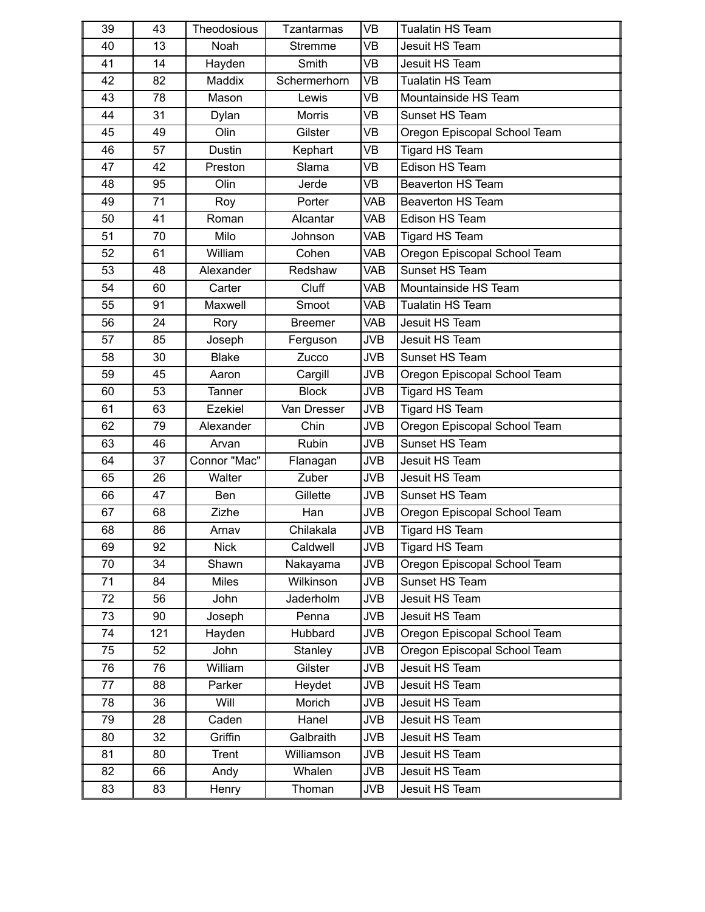| 39 | 43  | Theodosious   | <b>Tzantarmas</b> | <b>VB</b>  | <b>Tualatin HS Team</b>      |  |
|----|-----|---------------|-------------------|------------|------------------------------|--|
| 40 | 13  | Noah          | <b>Stremme</b>    | <b>VB</b>  | Jesuit HS Team               |  |
| 41 | 14  | Hayden        | Smith             | <b>VB</b>  | Jesuit HS Team               |  |
| 42 | 82  | Maddix        | Schermerhorn      | <b>VB</b>  | <b>Tualatin HS Team</b>      |  |
| 43 | 78  | Mason         | Lewis             | <b>VB</b>  | Mountainside HS Team         |  |
| 44 | 31  | Dylan         | <b>Morris</b>     | <b>VB</b>  | Sunset HS Team               |  |
| 45 | 49  | Olin          | Gilster           | <b>VB</b>  | Oregon Episcopal School Team |  |
| 46 | 57  | Dustin        | Kephart           | <b>VB</b>  | <b>Tigard HS Team</b>        |  |
| 47 | 42  | Preston       | Slama             | <b>VB</b>  | Edison HS Team               |  |
| 48 | 95  | Olin          | Jerde             | <b>VB</b>  | <b>Beaverton HS Team</b>     |  |
| 49 | 71  | Roy           | Porter            | <b>VAB</b> | <b>Beaverton HS Team</b>     |  |
| 50 | 41  | Roman         | Alcantar          | <b>VAB</b> | Edison HS Team               |  |
| 51 | 70  | Milo          | Johnson           | <b>VAB</b> | <b>Tigard HS Team</b>        |  |
| 52 | 61  | William       | Cohen             | <b>VAB</b> | Oregon Episcopal School Team |  |
| 53 | 48  | Alexander     | Redshaw           | <b>VAB</b> | Sunset HS Team               |  |
| 54 | 60  | Carter        | Cluff             | <b>VAB</b> | Mountainside HS Team         |  |
| 55 | 91  | Maxwell       | Smoot             | <b>VAB</b> | <b>Tualatin HS Team</b>      |  |
| 56 | 24  | Rory          | <b>Breemer</b>    | <b>VAB</b> | Jesuit HS Team               |  |
| 57 | 85  | Joseph        | Ferguson          | <b>JVB</b> | Jesuit HS Team               |  |
| 58 | 30  | <b>Blake</b>  | Zucco             | <b>JVB</b> | Sunset HS Team               |  |
| 59 | 45  | Aaron         | Cargill           | <b>JVB</b> | Oregon Episcopal School Team |  |
| 60 | 53  | <b>Tanner</b> | <b>Block</b>      | <b>JVB</b> | <b>Tigard HS Team</b>        |  |
| 61 | 63  | Ezekiel       | Van Dresser       | <b>JVB</b> | Tigard HS Team               |  |
| 62 | 79  | Alexander     | Chin              | <b>JVB</b> | Oregon Episcopal School Team |  |
| 63 | 46  | Arvan         | Rubin             | <b>JVB</b> | Sunset HS Team               |  |
| 64 | 37  | Connor "Mac"  | Flanagan          | <b>JVB</b> | Jesuit HS Team               |  |
| 65 | 26  | Walter        | Zuber             | <b>JVB</b> | Jesuit HS Team               |  |
| 66 | 47  | Ben           | Gillette          | <b>JVB</b> | Sunset HS Team               |  |
| 67 | 68  | Zizhe         | Han               | <b>JVB</b> | Oregon Episcopal School Team |  |
| 68 | 86  | Arnav         | Chilakala         | <b>JVB</b> | <b>Tigard HS Team</b>        |  |
| 69 | 92  | <b>Nick</b>   | Caldwell          | <b>JVB</b> | <b>Tigard HS Team</b>        |  |
| 70 | 34  | Shawn         | Nakayama          | <b>JVB</b> | Oregon Episcopal School Team |  |
| 71 | 84  | Miles         | Wilkinson         | <b>JVB</b> | Sunset HS Team               |  |
| 72 | 56  | John          | Jaderholm         | <b>JVB</b> | Jesuit HS Team               |  |
| 73 | 90  | Joseph        | Penna             | <b>JVB</b> | Jesuit HS Team               |  |
| 74 | 121 | Hayden        | Hubbard           | <b>JVB</b> | Oregon Episcopal School Team |  |
| 75 | 52  | John          | Stanley           | <b>JVB</b> | Oregon Episcopal School Team |  |
| 76 | 76  | William       | Gilster           | <b>JVB</b> | Jesuit HS Team               |  |
| 77 | 88  | Parker        | Heydet            | <b>JVB</b> | Jesuit HS Team               |  |
| 78 | 36  | Will          | Morich            | <b>JVB</b> | Jesuit HS Team               |  |
| 79 | 28  | Caden         | Hanel             | <b>JVB</b> | Jesuit HS Team               |  |
| 80 | 32  | Griffin       | Galbraith         | <b>JVB</b> | Jesuit HS Team               |  |
| 81 | 80  | Trent         | Williamson        | <b>JVB</b> | Jesuit HS Team               |  |
| 82 | 66  | Andy          | Whalen            | <b>JVB</b> | Jesuit HS Team               |  |
| 83 | 83  | Henry         | Thoman            | <b>JVB</b> | Jesuit HS Team               |  |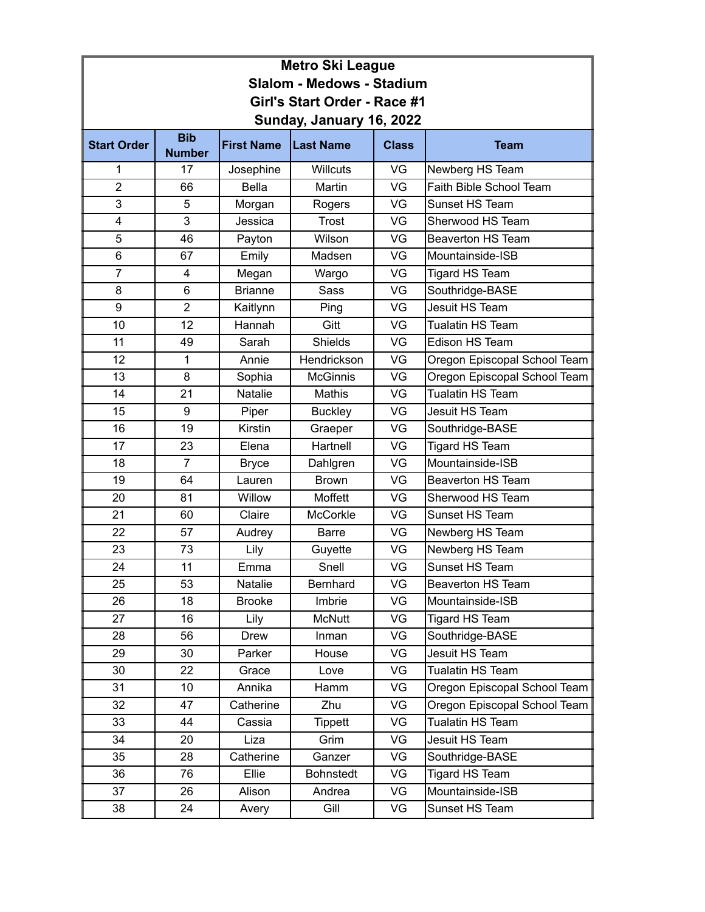| <b>Metro Ski League</b>          |                             |                   |                  |              |                              |  |  |  |
|----------------------------------|-----------------------------|-------------------|------------------|--------------|------------------------------|--|--|--|
| <b>Slalom - Medows - Stadium</b> |                             |                   |                  |              |                              |  |  |  |
| Girl's Start Order - Race #1     |                             |                   |                  |              |                              |  |  |  |
| Sunday, January 16, 2022         |                             |                   |                  |              |                              |  |  |  |
| <b>Start Order</b>               | <b>Bib</b><br><b>Number</b> | <b>First Name</b> | <b>Last Name</b> | <b>Class</b> | <b>Team</b>                  |  |  |  |
| 1                                | 17                          | Josephine         | <b>Willcuts</b>  | VG           | Newberg HS Team              |  |  |  |
| $\overline{2}$                   | 66                          | <b>Bella</b>      | Martin           | VG           | Faith Bible School Team      |  |  |  |
| 3                                | 5                           | Morgan            | Rogers           | VG           | Sunset HS Team               |  |  |  |
| 4                                | 3                           | Jessica           | Trost            | VG           | Sherwood HS Team             |  |  |  |
| 5                                | 46                          | Payton            | Wilson           | VG           | <b>Beaverton HS Team</b>     |  |  |  |
| 6                                | 67                          | Emily             | Madsen           | VG           | Mountainside-ISB             |  |  |  |
| $\overline{7}$                   | 4                           | Megan             | Wargo            | VG           | <b>Tigard HS Team</b>        |  |  |  |
| 8                                | 6                           | <b>Brianne</b>    | <b>Sass</b>      | VG           | Southridge-BASE              |  |  |  |
| 9                                | $\overline{2}$              | Kaitlynn          | Ping             | VG           | Jesuit HS Team               |  |  |  |
| 10                               | 12                          | Hannah            | Gitt             | VG           | Tualatin HS Team             |  |  |  |
| 11                               | 49                          | Sarah             | <b>Shields</b>   | VG           | Edison HS Team               |  |  |  |
| 12                               | 1                           | Annie             | Hendrickson      | VG           | Oregon Episcopal School Team |  |  |  |
| 13                               | 8                           | Sophia            | <b>McGinnis</b>  | VG           | Oregon Episcopal School Team |  |  |  |
| 14                               | 21                          | Natalie           | Mathis           | VG           | Tualatin HS Team             |  |  |  |
| 15                               | 9                           | Piper             | <b>Buckley</b>   | VG           | Jesuit HS Team               |  |  |  |
| 16                               | 19                          | Kirstin           | Graeper          | VG           | Southridge-BASE              |  |  |  |
| 17                               | 23                          | Elena             | Hartnell         | VG           | <b>Tigard HS Team</b>        |  |  |  |
| 18                               | $\overline{7}$              | <b>Bryce</b>      | Dahlgren         | VG           | Mountainside-ISB             |  |  |  |
| 19                               | 64                          | Lauren            | <b>Brown</b>     | VG           | <b>Beaverton HS Team</b>     |  |  |  |
| 20                               | 81                          | Willow            | Moffett          | VG           | Sherwood HS Team             |  |  |  |
| 21                               | 60                          | Claire            | <b>McCorkle</b>  | VG           | Sunset HS Team               |  |  |  |
| 22                               | 57                          | Audrey            | <b>Barre</b>     | VG           | Newberg HS Team              |  |  |  |
| 23                               | 73                          | Lily              | Guyette          | VG           | Newberg HS Team              |  |  |  |
| 24                               | 11                          | Emma              | Snell            | VG           | Sunset HS Team               |  |  |  |
| 25                               | 53                          | Natalie           | Bernhard         | VG           | Beaverton HS Team            |  |  |  |
| 26                               | 18                          | <b>Brooke</b>     | Imbrie           | VG           | Mountainside-ISB             |  |  |  |
| 27                               | 16                          | Lily              | <b>McNutt</b>    | VG           | Tigard HS Team               |  |  |  |
| 28                               | 56                          | Drew              | Inman            | VG           | Southridge-BASE              |  |  |  |
| 29                               | 30                          | Parker            | House            | VG           | Jesuit HS Team               |  |  |  |
| 30                               | 22                          | Grace             | Love             | VG           | Tualatin HS Team             |  |  |  |
| 31                               | 10                          | Annika            | Hamm             | VG           | Oregon Episcopal School Team |  |  |  |
| 32                               | 47                          | Catherine         | Zhu              | VG           | Oregon Episcopal School Team |  |  |  |
| 33                               | 44                          | Cassia            | <b>Tippett</b>   | VG           | Tualatin HS Team             |  |  |  |
| 34                               | 20                          | Liza              | Grim             | VG           | Jesuit HS Team               |  |  |  |
| 35                               | 28                          | Catherine         | Ganzer           | VG           | Southridge-BASE              |  |  |  |
| 36                               | 76                          | Ellie             | <b>Bohnstedt</b> | VG           | Tigard HS Team               |  |  |  |
| 37                               | 26                          | Alison            | Andrea           | VG           | Mountainside-ISB             |  |  |  |
| 38                               | 24                          | Avery             | Gill             | VG           | Sunset HS Team               |  |  |  |